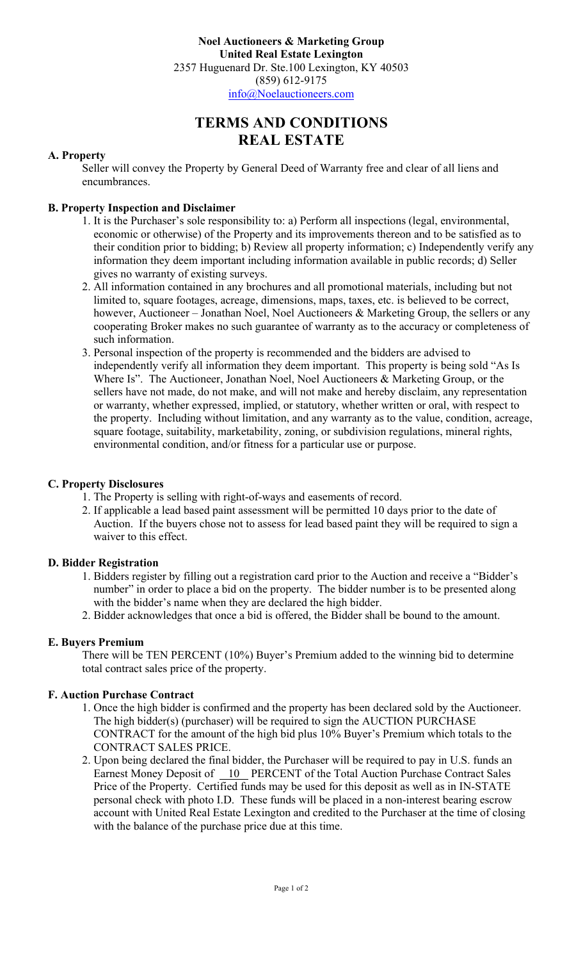**Noel Auctioneers & Marketing Group United Real Estate Lexington** 2357 Huguenard Dr. Ste.100 Lexington, KY 40503 (859) 612-9175 info@Noelauctioneers.com

# **TERMS AND CONDITIONS REAL ESTATE**

#### **A. Property**

Seller will convey the Property by General Deed of Warranty free and clear of all liens and encumbrances.

#### **B. Property Inspection and Disclaimer**

- 1. It is the Purchaser's sole responsibility to: a) Perform all inspections (legal, environmental, economic or otherwise) of the Property and its improvements thereon and to be satisfied as to their condition prior to bidding; b) Review all property information; c) Independently verify any information they deem important including information available in public records; d) Seller gives no warranty of existing surveys.
- 2. All information contained in any brochures and all promotional materials, including but not limited to, square footages, acreage, dimensions, maps, taxes, etc. is believed to be correct, however, Auctioneer – Jonathan Noel, Noel Auctioneers & Marketing Group, the sellers or any cooperating Broker makes no such guarantee of warranty as to the accuracy or completeness of such information.
- 3. Personal inspection of the property is recommended and the bidders are advised to independently verify all information they deem important. This property is being sold "As Is Where Is". The Auctioneer, Jonathan Noel, Noel Auctioneers & Marketing Group, or the sellers have not made, do not make, and will not make and hereby disclaim, any representation or warranty, whether expressed, implied, or statutory, whether written or oral, with respect to the property. Including without limitation, and any warranty as to the value, condition, acreage, square footage, suitability, marketability, zoning, or subdivision regulations, mineral rights, environmental condition, and/or fitness for a particular use or purpose.

# **C. Property Disclosures**

- 1. The Property is selling with right-of-ways and easements of record.
- 2. If applicable a lead based paint assessment will be permitted 10 days prior to the date of Auction. If the buyers chose not to assess for lead based paint they will be required to sign a waiver to this effect.

# **D. Bidder Registration**

- 1. Bidders register by filling out a registration card prior to the Auction and receive a "Bidder's number" in order to place a bid on the property. The bidder number is to be presented along with the bidder's name when they are declared the high bidder.
- 2. Bidder acknowledges that once a bid is offered, the Bidder shall be bound to the amount.

# **E. Buyers Premium**

There will be TEN PERCENT (10%) Buyer's Premium added to the winning bid to determine total contract sales price of the property.

#### **F. Auction Purchase Contract**

- 1. Once the high bidder is confirmed and the property has been declared sold by the Auctioneer. The high bidder(s) (purchaser) will be required to sign the AUCTION PURCHASE CONTRACT for the amount of the high bid plus 10% Buyer's Premium which totals to the CONTRACT SALES PRICE.
- 2. Upon being declared the final bidder, the Purchaser will be required to pay in U.S. funds an Earnest Money Deposit of 10 PERCENT of the Total Auction Purchase Contract Sales Price of the Property. Certified funds may be used for this deposit as well as in IN-STATE personal check with photo I.D. These funds will be placed in a non-interest bearing escrow account with United Real Estate Lexington and credited to the Purchaser at the time of closing with the balance of the purchase price due at this time.